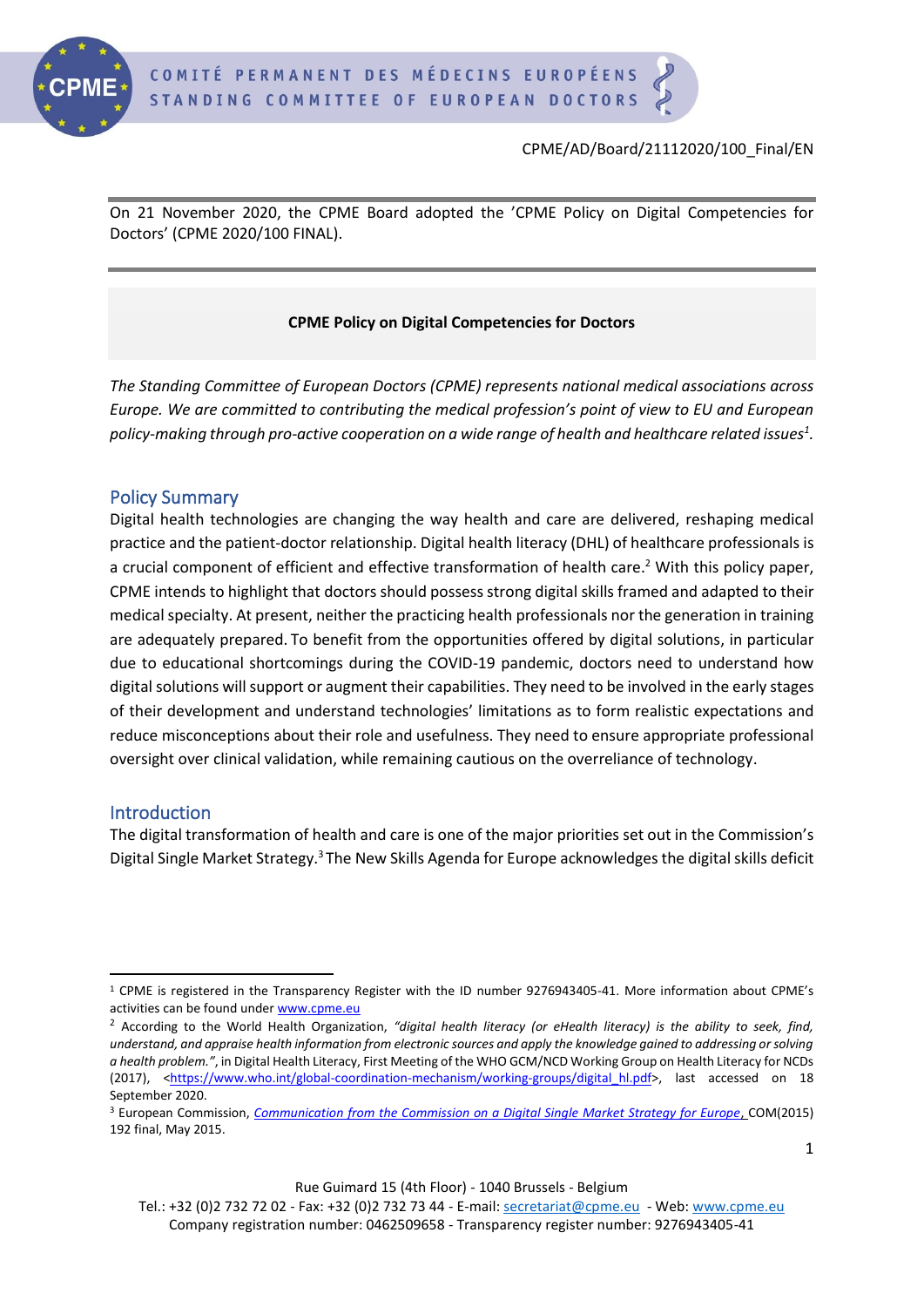

On 21 November 2020, the CPME Board adopted the 'CPME Policy on Digital Competencies for Doctors' (CPME 2020/100 FINAL).

## **CPME Policy on Digital Competencies for Doctors**

*The Standing Committee of European Doctors (CPME) represents national medical associations across Europe. We are committed to contributing the medical profession's point of view to EU and European policy-making through pro-active cooperation on a wide range of health and healthcare related issues<sup>1</sup> .*

## Policy Summary

Digital health technologies are changing the way health and care are delivered, reshaping medical practice and the patient-doctor relationship. Digital health literacy (DHL) of healthcare professionals is a crucial component of efficient and effective transformation of health care.<sup>2</sup> With this policy paper, CPME intends to highlight that doctors should possess strong digital skills framed and adapted to their medical specialty. At present, neither the practicing health professionals nor the generation in training are adequately prepared. To benefit from the opportunities offered by digital solutions, in particular due to educational shortcomings during the COVID-19 pandemic, doctors need to understand how digital solutions will support or augment their capabilities. They need to be involved in the early stages of their development and understand technologies' limitations as to form realistic expectations and reduce misconceptions about their role and usefulness. They need to ensure appropriate professional oversight over clinical validation, while remaining cautious on the overreliance of technology.

# Introduction

The digital transformation of health and care is one of the major priorities set out in the Commission's Digital Single Market Strategy.<sup>3</sup> The New Skills Agenda for Europe acknowledges the digital skills deficit

<sup>1</sup> CPME is registered in the Transparency Register with the ID number 9276943405-41. More information about CPME's activities can be found under [www.cpme.eu](http://www.cpme.eu/)

<sup>2</sup> According to the World Health Organization, *"digital health literacy (or eHealth literacy) is the ability to seek, find, understand, and appraise health information from electronic sources and apply the knowledge gained to addressing or solving a health problem."*, in Digital Health Literacy, First Meeting of the WHO GCM/NCD Working Group on Health Literacy for NCDs (2017), <https://www.who.int/global-coordination-mechanism/working-groups/digital hl.pdf>, last accessed on 18 September 2020.

<sup>&</sup>lt;sup>3</sup> European Commission, *[Communication from the Commission on a Digital Single Market Strategy for Europe](https://eur-lex.europa.eu/legal-content/EN/TXT/?uri=celex%3A52015DC0192), COM(2015)* 192 final, May 2015.

Tel.: +32 (0)2 732 72 02 - Fax: +32 (0)2 732 73 44 - E-mail: [secretariat@cpme.eu](mailto:secretariat@cpme.eu) - Web[: www.cpme.eu](http://www.cpme.eu/) Company registration number: 0462509658 - Transparency register number: 9276943405-41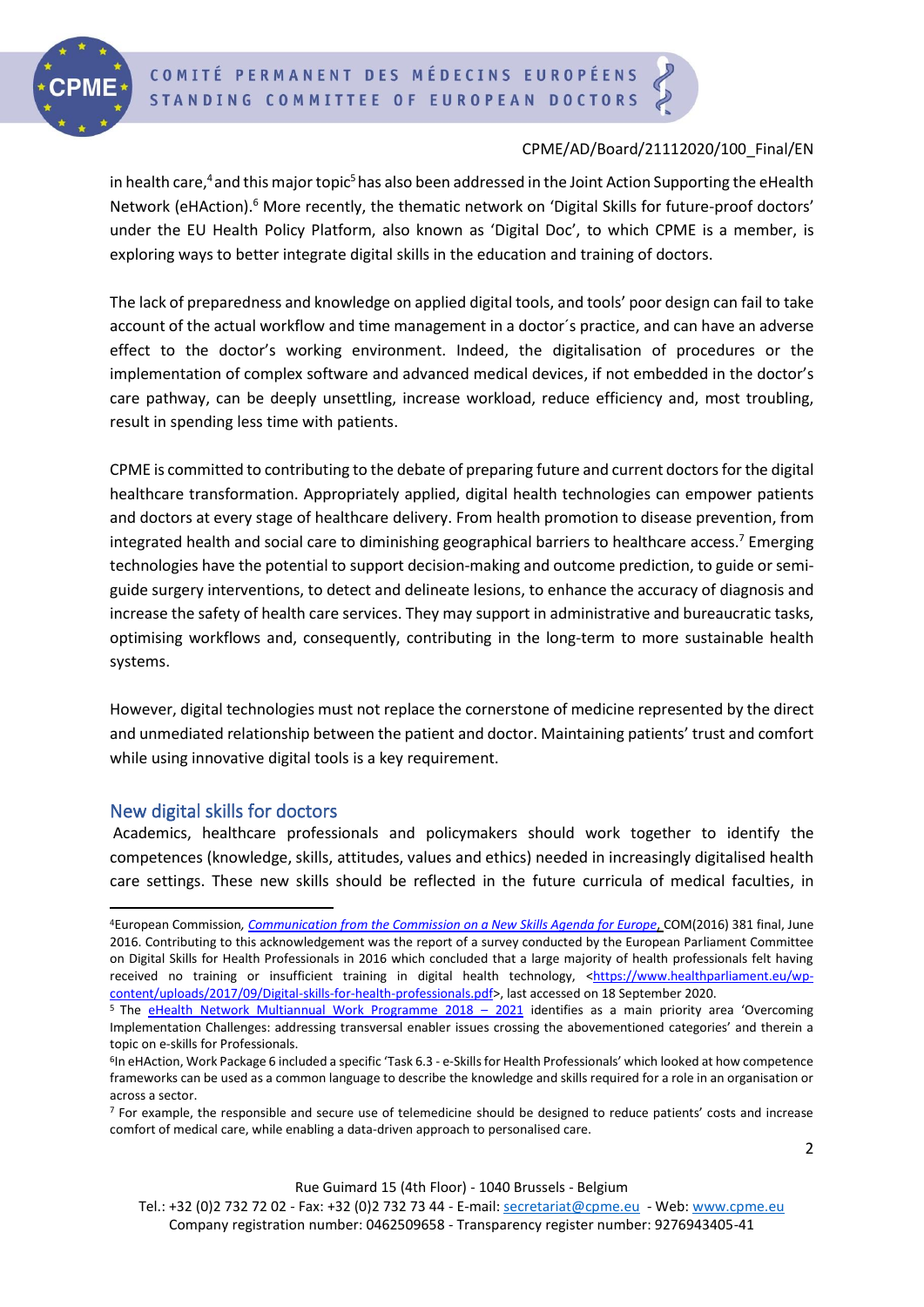

in health care,<sup>4</sup> and this major topic<sup>5</sup> has also been addressed in the Joint Action Supporting the eHealth Network (eHAction).<sup>6</sup> More recently, the thematic network on 'Digital Skills for future-proof doctors' under the EU Health Policy Platform, also known as 'Digital Doc', to which CPME is a member, is exploring ways to better integrate digital skills in the education and training of doctors.

The lack of preparedness and knowledge on applied digital tools, and tools' poor design can fail to take account of the actual workflow and time management in a doctor´s practice, and can have an adverse effect to the doctor's working environment. Indeed, the digitalisation of procedures or the implementation of complex software and advanced medical devices, if not embedded in the doctor's care pathway, can be deeply unsettling, increase workload, reduce efficiency and, most troubling, result in spending less time with patients.

CPME is committed to contributing to the debate of preparing future and current doctors for the digital healthcare transformation. Appropriately applied, digital health technologies can empower patients and doctors at every stage of healthcare delivery. From health promotion to disease prevention, from integrated health and social care to diminishing geographical barriers to healthcare access.<sup>7</sup> Emerging technologies have the potential to support decision-making and outcome prediction, to guide or semiguide surgery interventions, to detect and delineate lesions, to enhance the accuracy of diagnosis and increase the safety of health care services. They may support in administrative and bureaucratic tasks, optimising workflows and, consequently, contributing in the long-term to more sustainable health systems.

However, digital technologies must not replace the cornerstone of medicine represented by the direct and unmediated relationship between the patient and doctor. Maintaining patients' trust and comfort while using innovative digital tools is a key requirement.

# New digital skills for doctors

Academics, healthcare professionals and policymakers should work together to identify the competences (knowledge, skills, attitudes, values and ethics) needed in increasingly digitalised health care settings. These new skills should be reflected in the future curricula of medical faculties, in

Tel.: +32 (0)2 732 72 02 - Fax: +32 (0)2 732 73 44 - E-mail: [secretariat@cpme.eu](mailto:secretariat@cpme.eu) - Web[: www.cpme.eu](http://www.cpme.eu/) Company registration number: 0462509658 - Transparency register number: 9276943405-41

<sup>4</sup>European Commission*, [Communication from the Commission on a New Skills Agenda for Europe](https://ec.europa.eu/social/main.jsp?catId=1223)*, COM(2016) 381 final, June 2016. Contributing to this acknowledgement was the report of a survey conducted by the European Parliament Committee on Digital Skills for Health Professionals in 2016 which concluded that a large majority of health professionals felt having received no training or insufficient training in digital health technology, [<https://www.healthparliament.eu/wp](https://www.healthparliament.eu/wp-content/uploads/2017/09/Digital-skills-for-health-professionals.pdf)[content/uploads/2017/09/Digital-skills-for-health-professionals.pdf>](https://www.healthparliament.eu/wp-content/uploads/2017/09/Digital-skills-for-health-professionals.pdf), last accessed on 18 September 2020.

 $5$  The [eHealth Network Multiannual Work Programme 2018](https://ec.europa.eu/health/sites/health/files/ehealth/docs/ev_20171128_co01_en.pdf) – 2021 identifies as a main priority area 'Overcoming Implementation Challenges: addressing transversal enabler issues crossing the abovementioned categories' and therein a topic on e-skills for Professionals.

<sup>&</sup>lt;sup>6</sup>In eHAction, Work Package 6 included a specific 'Task 6.3 - e-Skills for Health Professionals' which looked at how competence frameworks can be used as a common language to describe the knowledge and skills required for a role in an organisation or across a sector.

 $7$  For example, the responsible and secure use of telemedicine should be designed to reduce patients' costs and increase comfort of medical care, while enabling a data-driven approach to personalised care.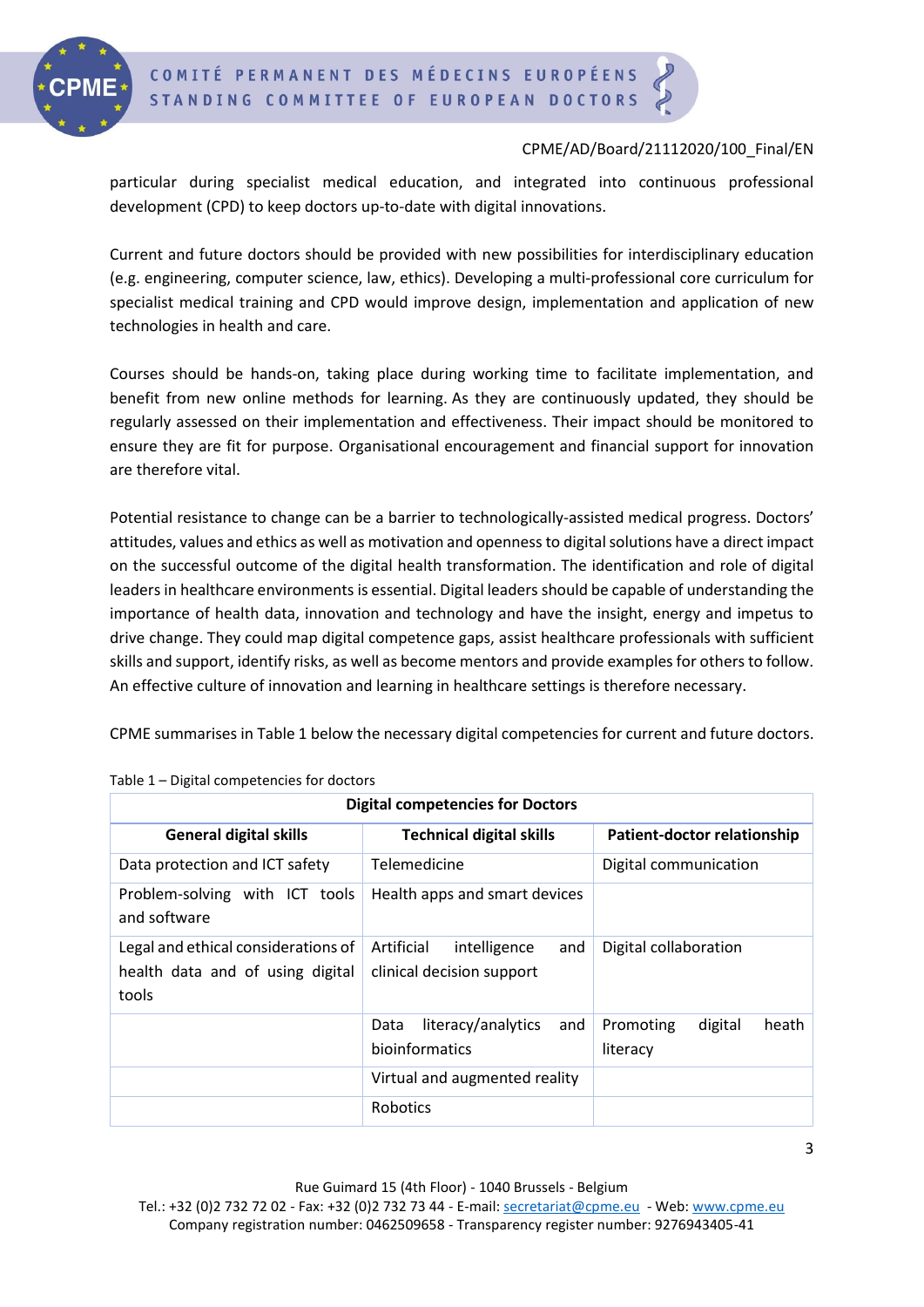

particular during specialist medical education, and integrated into continuous professional development (CPD) to keep doctors up-to-date with digital innovations.

Current and future doctors should be provided with new possibilities for interdisciplinary education (e.g. engineering, computer science, law, ethics). Developing a multi-professional core curriculum for specialist medical training and CPD would improve design, implementation and application of new technologies in health and care.

Courses should be hands-on, taking place during working time to facilitate implementation, and benefit from new online methods for learning. As they are continuously updated, they should be regularly assessed on their implementation and effectiveness. Their impact should be monitored to ensure they are fit for purpose. Organisational encouragement and financial support for innovation are therefore vital.

Potential resistance to change can be a barrier to technologically-assisted medical progress. Doctors' attitudes, values and ethics as well as motivation and openness to digital solutions have a direct impact on the successful outcome of the digital health transformation. The identification and role of digital leaders in healthcare environments is essential. Digital leaders should be capable of understanding the importance of health data, innovation and technology and have the insight, energy and impetus to drive change. They could map digital competence gaps, assist healthcare professionals with sufficient skills and support, identify risks, as well as become mentors and provide examples for others to follow. An effective culture of innovation and learning in healthcare settings is therefore necessary.

CPME summarises in Table 1 below the necessary digital competencies for current and future doctors.

| <b>Digital competencies for Doctors</b>                                          |                                                                |                                           |
|----------------------------------------------------------------------------------|----------------------------------------------------------------|-------------------------------------------|
| <b>General digital skills</b>                                                    | <b>Technical digital skills</b>                                | Patient-doctor relationship               |
| Data protection and ICT safety                                                   | Telemedicine                                                   | Digital communication                     |
| Problem-solving with ICT tools<br>and software                                   | Health apps and smart devices                                  |                                           |
| Legal and ethical considerations of<br>health data and of using digital<br>tools | Artificial<br>intelligence<br>and<br>clinical decision support | Digital collaboration                     |
|                                                                                  | literacy/analytics<br>and<br>Data<br>bioinformatics            | digital<br>heath<br>Promoting<br>literacy |
|                                                                                  | Virtual and augmented reality                                  |                                           |
|                                                                                  | Robotics                                                       |                                           |

#### Table 1 – Digital competencies for doctors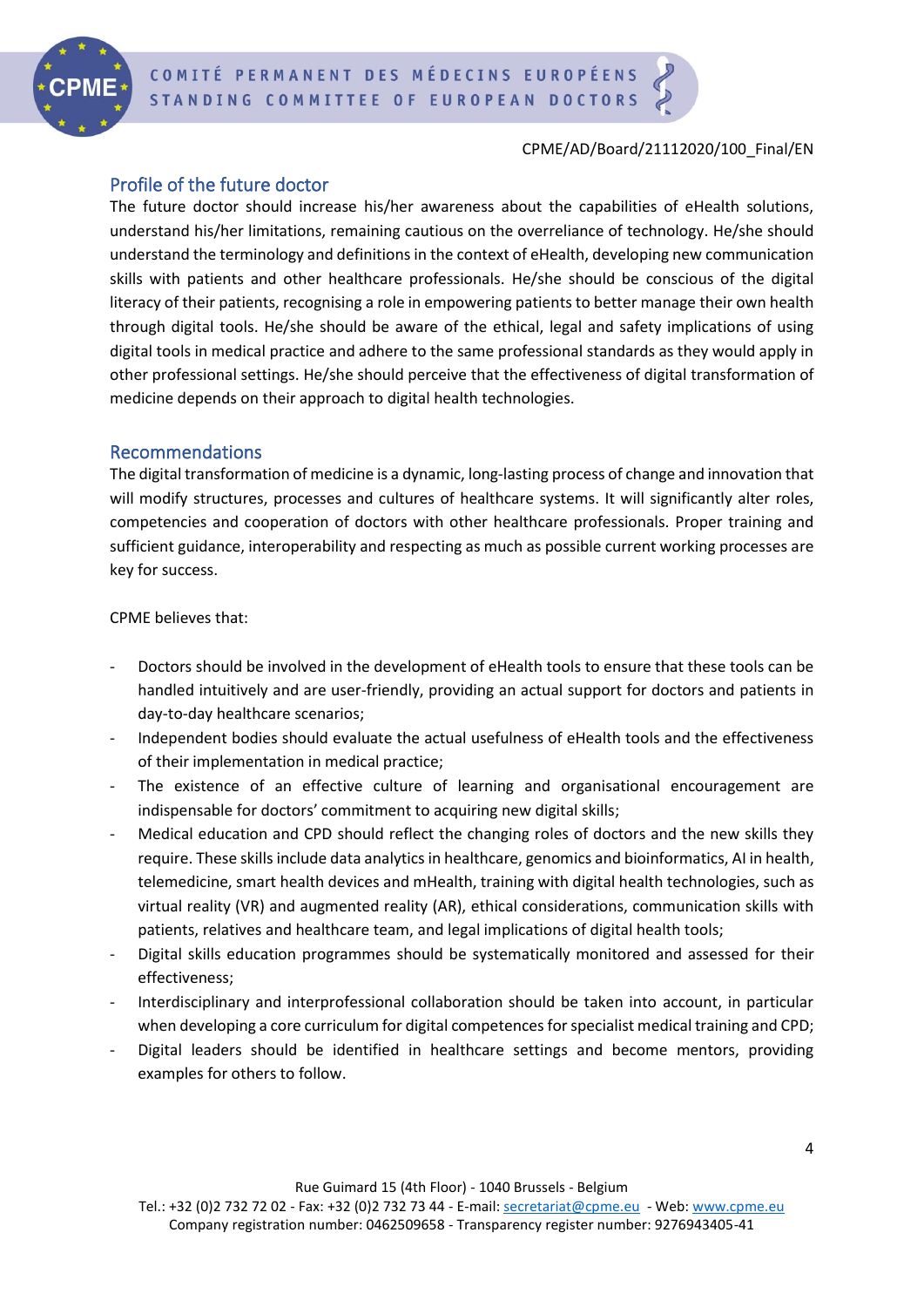

# Profile of the future doctor

The future doctor should increase his/her awareness about the capabilities of eHealth solutions, understand his/her limitations, remaining cautious on the overreliance of technology. He/she should understand the terminology and definitions in the context of eHealth, developing new communication skills with patients and other healthcare professionals. He/she should be conscious of the digital literacy of their patients, recognising a role in empowering patients to better manage their own health through digital tools. He/she should be aware of the ethical, legal and safety implications of using digital tools in medical practice and adhere to the same professional standards as they would apply in other professional settings. He/she should perceive that the effectiveness of digital transformation of medicine depends on their approach to digital health technologies.

# Recommendations

The digital transformation of medicine is a dynamic, long-lasting process of change and innovation that will modify structures, processes and cultures of healthcare systems. It will significantly alter roles, competencies and cooperation of doctors with other healthcare professionals. Proper training and sufficient guidance, interoperability and respecting as much as possible current working processes are key for success.

CPME believes that:

- Doctors should be involved in the development of eHealth tools to ensure that these tools can be handled intuitively and are user-friendly, providing an actual support for doctors and patients in day-to-day healthcare scenarios;
- Independent bodies should evaluate the actual usefulness of eHealth tools and the effectiveness of their implementation in medical practice;
- The existence of an effective culture of learning and organisational encouragement are indispensable for doctors' commitment to acquiring new digital skills;
- Medical education and CPD should reflect the changing roles of doctors and the new skills they require. These skills include data analytics in healthcare, genomics and bioinformatics, AI in health, telemedicine, smart health devices and mHealth, training with digital health technologies, such as virtual reality (VR) and augmented reality (AR), ethical considerations, communication skills with patients, relatives and healthcare team, and legal implications of digital health tools;
- Digital skills education programmes should be systematically monitored and assessed for their effectiveness;
- Interdisciplinary and interprofessional collaboration should be taken into account, in particular when developing a core curriculum for digital competences for specialist medical training and CPD;
- Digital leaders should be identified in healthcare settings and become mentors, providing examples for others to follow.